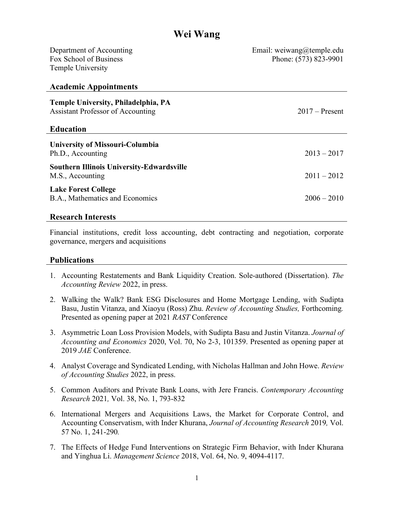# **Wei Wang**

| Department of Accounting<br>Fox School of Business<br><b>Temple University</b>                      | Email: weiwang@temple.edu<br>Phone: (573) 823-9901 |
|-----------------------------------------------------------------------------------------------------|----------------------------------------------------|
| <b>Academic Appointments</b>                                                                        |                                                    |
| Temple University, Philadelphia, PA<br><b>Assistant Professor of Accounting</b><br><b>Education</b> | $2017$ – Present                                   |
| <b>University of Missouri-Columbia</b><br>Ph.D., Accounting                                         | $2013 - 2017$                                      |
| <b>Southern Illinois University-Edwardsville</b><br>M.S., Accounting                                | $2011 - 2012$                                      |
| <b>Lake Forest College</b><br>B.A., Mathematics and Economics                                       | $2006 - 2010$                                      |

#### **Research Interests**

Financial institutions, credit loss accounting, debt contracting and negotiation, corporate governance, mergers and acquisitions

#### **Publications**

- 1. Accounting Restatements and Bank Liquidity Creation. Sole-authored (Dissertation). *The Accounting Review* 2022, in press.
- 2. Walking the Walk? Bank ESG Disclosures and Home Mortgage Lending, with Sudipta Basu, Justin Vitanza, and Xiaoyu (Ross) Zhu. *Review of Accounting Studies,* Forthcoming*.* Presented as opening paper at 2021 *RAST* Conference
- 3. Asymmetric Loan Loss Provision Models, with Sudipta Basu and Justin Vitanza. *Journal of Accounting and Economics* 2020, Vol. 70, No 2-3, 101359. Presented as opening paper at 2019 *JAE* Conference.
- 4. Analyst Coverage and Syndicated Lending, with Nicholas Hallman and John Howe. *Review of Accounting Studies* 2022, in press.
- 5. Common Auditors and Private Bank Loans, with Jere Francis. *Contemporary Accounting Research* 2021*,* Vol. 38, No. 1, 793-832
- 6. International Mergers and Acquisitions Laws, the Market for Corporate Control, and Accounting Conservatism, with Inder Khurana, *Journal of Accounting Research* 2019*,* Vol. 57 No. 1, 241-290*.*
- 7. The Effects of Hedge Fund Interventions on Strategic Firm Behavior, with Inder Khurana and Yinghua Li. *Management Science* 2018, Vol. 64, No. 9, 4094-4117.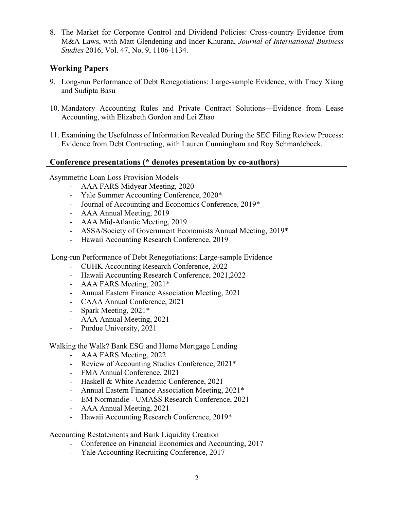8. The Market for Corporate Control and Dividend Policies: Cross-country Evidence from M&A Laws, with Matt Glendening and Inder Khurana, *Journal of International Business Studies* 2016, Vol. 47, No. 9, 1106-1134.

## **Working Papers**

- 9. Long-run Performance of Debt Renegotiations: Large-sample Evidence, with Tracy Xiang and Sudipta Basu
- 10. Mandatory Accounting Rules and Private Contract Solutions—Evidence from Lease Accounting, with Elizabeth Gordon and Lei Zhao
- 11. Examining the Usefulness of Information Revealed During the SEC Filing Review Process: Evidence from Debt Contracting, with Lauren Cunningham and Roy Schmardebeck.

## **Conference presentations (\* denotes presentation by co-authors)**

Asymmetric Loan Loss Provision Models

- AAA FARS Midyear Meeting, 2020
- Yale Summer Accounting Conference, 2020\*
- Journal of Accounting and Economics Conference, 2019\*
- AAA Annual Meeting, 2019
- AAA Mid-Atlantic Meeting, 2019
- ASSA/Society of Government Economists Annual Meeting, 2019\*
- Hawaii Accounting Research Conference, 2019

Long-run Performance of Debt Renegotiations: Large-sample Evidence

- CUHK Accounting Research Conference, 2022
- Hawaii Accounting Research Conference, 2021,2022
- AAA FARS Meeting, 2021\*
- Annual Eastern Finance Association Meeting, 2021
- CAAA Annual Conference, 2021
- Spark Meeting, 2021\*
- AAA Annual Meeting, 2021
- Purdue University, 2021

Walking the Walk? Bank ESG and Home Mortgage Lending

- AAA FARS Meeting, 2022
- Review of Accounting Studies Conference, 2021\*
- FMA Annual Conference, 2021
- Haskell & White Academic Conference, 2021
- Annual Eastern Finance Association Meeting, 2021\*
- EM Normandie UMASS Research Conference, 2021
- AAA Annual Meeting, 2021
- Hawaii Accounting Research Conference, 2019\*

Accounting Restatements and Bank Liquidity Creation

- Conference on Financial Economics and Accounting, 2017
- Yale Accounting Recruiting Conference, 2017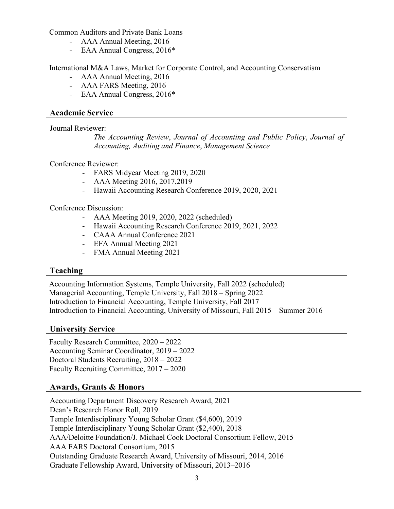Common Auditors and Private Bank Loans

- AAA Annual Meeting, 2016
- EAA Annual Congress, 2016\*

International M&A Laws, Market for Corporate Control, and Accounting Conservatism

- AAA Annual Meeting, 2016
- AAA FARS Meeting, 2016
- EAA Annual Congress, 2016\*

#### **Academic Service**

Journal Reviewer:

*The Accounting Review*, *Journal of Accounting and Public Policy*, *Journal of Accounting, Auditing and Finance*, *Management Science*

Conference Reviewer:

- FARS Midyear Meeting 2019, 2020
- AAA Meeting 2016, 2017,2019
- Hawaii Accounting Research Conference 2019, 2020, 2021

Conference Discussion:

- AAA Meeting 2019, 2020, 2022 (scheduled)
- Hawaii Accounting Research Conference 2019, 2021, 2022
- CAAA Annual Conference 2021
- EFA Annual Meeting 2021
- FMA Annual Meeting 2021

## **Teaching**

Accounting Information Systems, Temple University, Fall 2022 (scheduled) Managerial Accounting, Temple University, Fall 2018 – Spring 2022 Introduction to Financial Accounting, Temple University, Fall 2017 Introduction to Financial Accounting, University of Missouri, Fall 2015 – Summer 2016

#### **University Service**

Faculty Research Committee, 2020 – 2022 Accounting Seminar Coordinator, 2019 – 2022 Doctoral Students Recruiting, 2018 – 2022 Faculty Recruiting Committee, 2017 – 2020

## **Awards, Grants & Honors**

Accounting Department Discovery Research Award, 2021 Dean's Research Honor Roll, 2019 Temple Interdisciplinary Young Scholar Grant (\$4,600), 2019 Temple Interdisciplinary Young Scholar Grant (\$2,400), 2018 AAA/Deloitte Foundation/J. Michael Cook Doctoral Consortium Fellow, 2015 AAA FARS Doctoral Consortium, 2015 Outstanding Graduate Research Award, University of Missouri, 2014, 2016 Graduate Fellowship Award, University of Missouri, 2013–2016